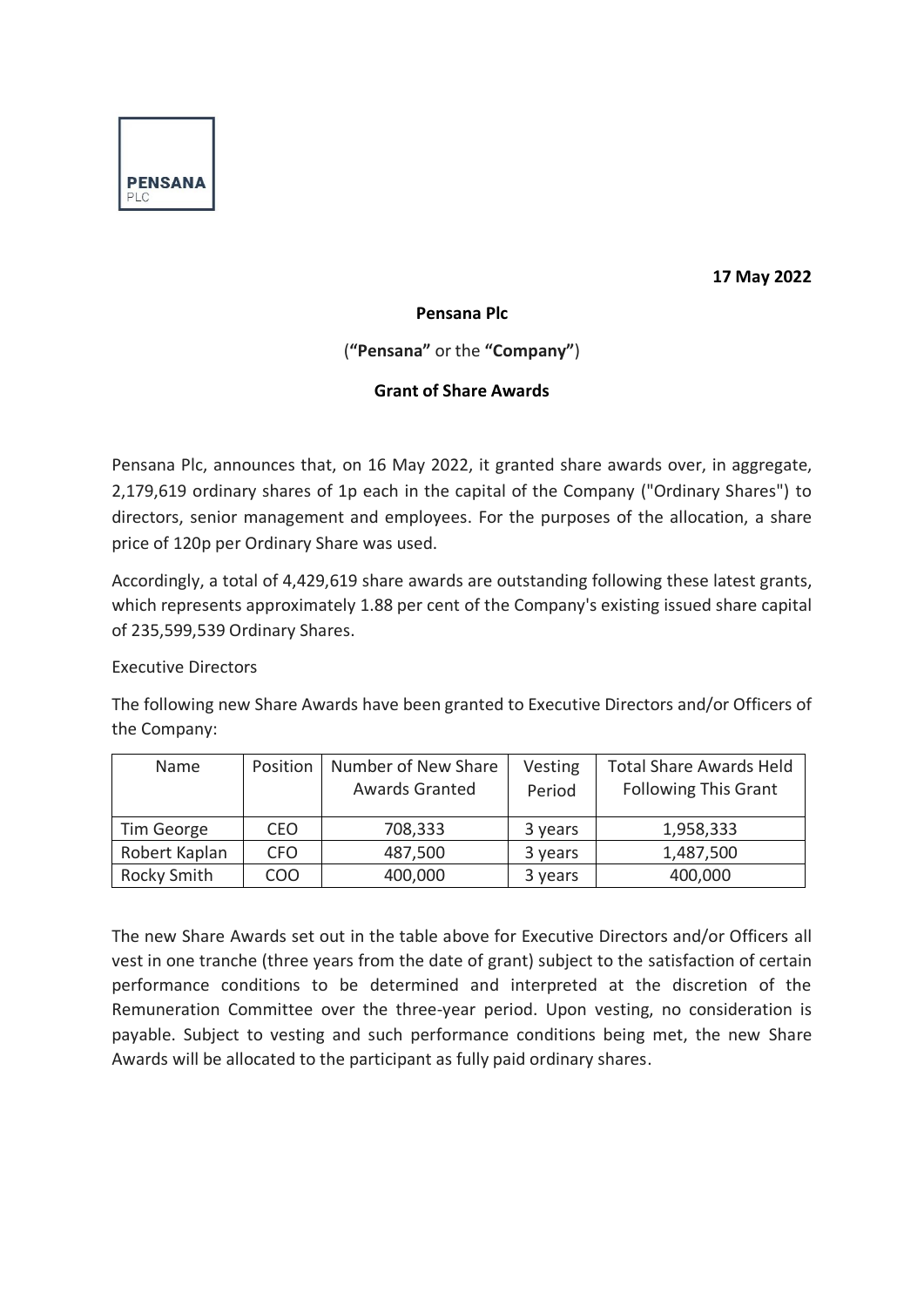

**17 May 2022**

## **Pensana Plc**

(**"Pensana"** or the **"Company"**)

## **Grant of Share Awards**

Pensana Plc, announces that, on 16 May 2022, it granted share awards over, in aggregate, 2,179,619 ordinary shares of 1p each in the capital of the Company ("Ordinary Shares") to directors, senior management and employees. For the purposes of the allocation, a share price of 120p per Ordinary Share was used.

Accordingly, a total of 4,429,619 share awards are outstanding following these latest grants, which represents approximately 1.88 per cent of the Company's existing issued share capital of 235,599,539 Ordinary Shares.

Executive Directors

The following new Share Awards have been granted to Executive Directors and/or Officers of the Company:

| <b>Name</b>   | Position   | Number of New Share<br>Awards Granted | Vesting<br>Period | <b>Total Share Awards Held</b><br><b>Following This Grant</b> |
|---------------|------------|---------------------------------------|-------------------|---------------------------------------------------------------|
| Tim George    | CEO        | 708,333                               | 3 years           | 1,958,333                                                     |
| Robert Kaplan | <b>CFO</b> | 487,500                               | 3 years           | 1,487,500                                                     |
| Rocky Smith   | COO        | 400,000                               | 3 years           | 400,000                                                       |

The new Share Awards set out in the table above for Executive Directors and/or Officers all vest in one tranche (three years from the date of grant) subject to the satisfaction of certain performance conditions to be determined and interpreted at the discretion of the Remuneration Committee over the three-year period. Upon vesting, no consideration is payable. Subject to vesting and such performance conditions being met, the new Share Awards will be allocated to the participant as fully paid ordinary shares.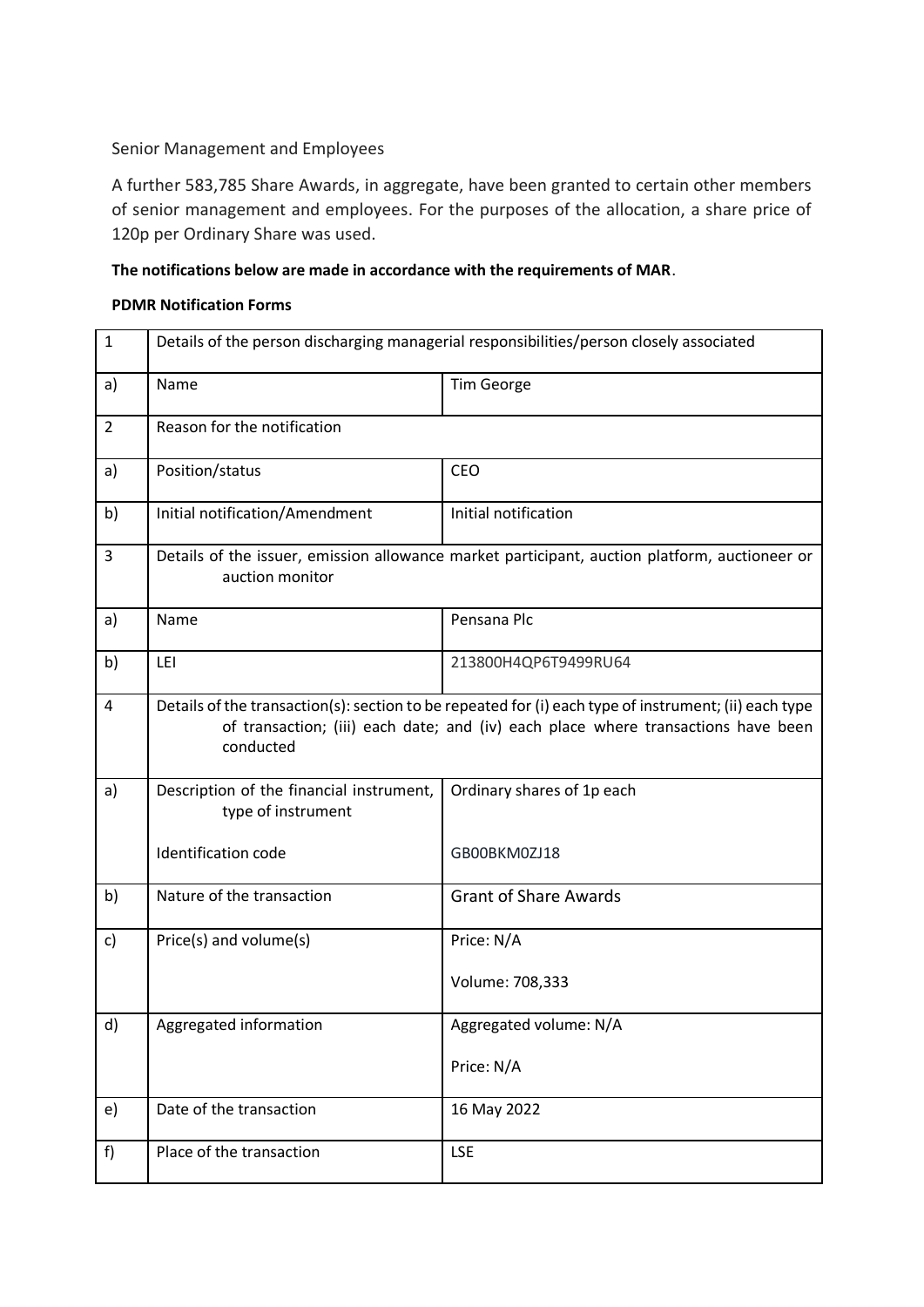### Senior Management and Employees

A further 583,785 Share Awards, in aggregate, have been granted to certain other members of senior management and employees. For the purposes of the allocation, a share price of 120p per Ordinary Share was used.

#### **The notifications below are made in accordance with the requirements of MAR**.

#### **PDMR Notification Forms**

| $\mathbf{1}$   | Details of the person discharging managerial responsibilities/person closely associated                                                                                                                 |                              |  |
|----------------|---------------------------------------------------------------------------------------------------------------------------------------------------------------------------------------------------------|------------------------------|--|
| a)             | Name                                                                                                                                                                                                    | Tim George                   |  |
| $\overline{2}$ | Reason for the notification                                                                                                                                                                             |                              |  |
| a)             | Position/status                                                                                                                                                                                         | CEO                          |  |
| b)             | Initial notification/Amendment                                                                                                                                                                          | Initial notification         |  |
| $\overline{3}$ | Details of the issuer, emission allowance market participant, auction platform, auctioneer or<br>auction monitor                                                                                        |                              |  |
| a)             | Name                                                                                                                                                                                                    | Pensana Plc                  |  |
| b)             | LEI                                                                                                                                                                                                     | 213800H4QP6T9499RU64         |  |
| 4              | Details of the transaction(s): section to be repeated for (i) each type of instrument; (ii) each type<br>of transaction; (iii) each date; and (iv) each place where transactions have been<br>conducted |                              |  |
| a)             | Description of the financial instrument,<br>type of instrument                                                                                                                                          | Ordinary shares of 1p each   |  |
|                | Identification code                                                                                                                                                                                     | GB00BKM0ZJ18                 |  |
| b)             | Nature of the transaction                                                                                                                                                                               | <b>Grant of Share Awards</b> |  |
| c)             | Price(s) and volume(s)                                                                                                                                                                                  | Price: N/A                   |  |
|                |                                                                                                                                                                                                         | Volume: 708,333              |  |
| d)             | Aggregated information                                                                                                                                                                                  | Aggregated volume: N/A       |  |
|                |                                                                                                                                                                                                         | Price: N/A                   |  |
| e)             | Date of the transaction                                                                                                                                                                                 | 16 May 2022                  |  |
| f              | Place of the transaction                                                                                                                                                                                | <b>LSE</b>                   |  |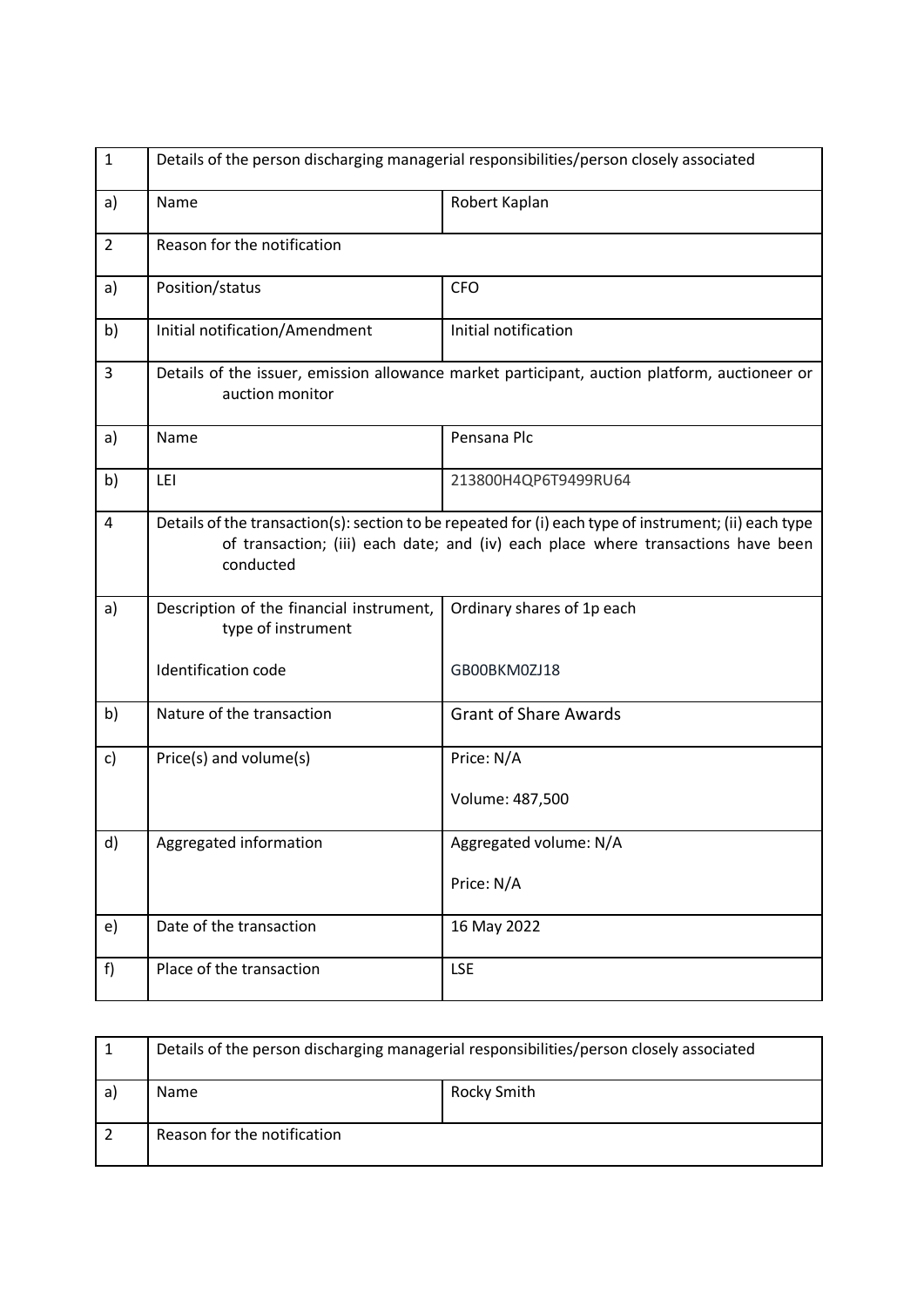| $\mathbf{1}$   | Details of the person discharging managerial responsibilities/person closely associated                                                                                                                 |                              |  |
|----------------|---------------------------------------------------------------------------------------------------------------------------------------------------------------------------------------------------------|------------------------------|--|
| a)             | Name                                                                                                                                                                                                    | Robert Kaplan                |  |
| $\overline{2}$ | Reason for the notification                                                                                                                                                                             |                              |  |
| a)             | Position/status                                                                                                                                                                                         | <b>CFO</b>                   |  |
| b)             | Initial notification/Amendment                                                                                                                                                                          | Initial notification         |  |
| 3              | Details of the issuer, emission allowance market participant, auction platform, auctioneer or<br>auction monitor                                                                                        |                              |  |
| a)             | Name                                                                                                                                                                                                    | Pensana Plc                  |  |
| b)             | LEI                                                                                                                                                                                                     | 213800H4QP6T9499RU64         |  |
| 4              | Details of the transaction(s): section to be repeated for (i) each type of instrument; (ii) each type<br>of transaction; (iii) each date; and (iv) each place where transactions have been<br>conducted |                              |  |
| a)             | Description of the financial instrument,<br>type of instrument                                                                                                                                          | Ordinary shares of 1p each   |  |
|                | <b>Identification code</b>                                                                                                                                                                              | GB00BKM0ZJ18                 |  |
| b)             | Nature of the transaction                                                                                                                                                                               | <b>Grant of Share Awards</b> |  |
| $\mathsf{c}$   | Price(s) and volume(s)                                                                                                                                                                                  | Price: N/A                   |  |
|                |                                                                                                                                                                                                         | Volume: 487,500              |  |
| d)             | Aggregated information                                                                                                                                                                                  | Aggregated volume: N/A       |  |
|                |                                                                                                                                                                                                         | Price: N/A                   |  |
| e)             | Date of the transaction                                                                                                                                                                                 | 16 May 2022                  |  |
| f              | Place of the transaction                                                                                                                                                                                | <b>LSE</b>                   |  |

|    | Details of the person discharging managerial responsibilities/person closely associated |             |  |
|----|-----------------------------------------------------------------------------------------|-------------|--|
| a. | <b>Name</b>                                                                             | Rocky Smith |  |
|    | Reason for the notification                                                             |             |  |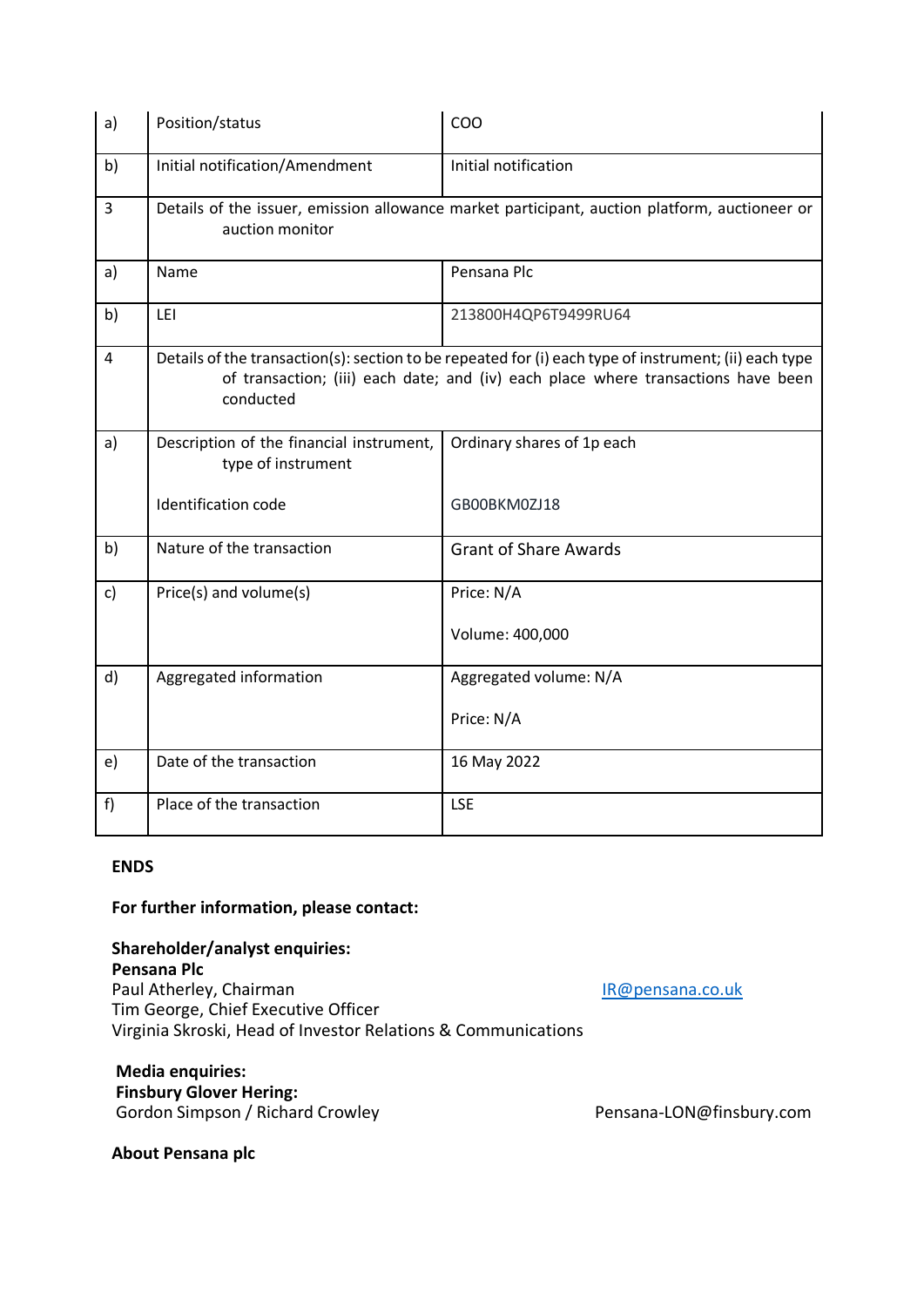| a)             | Position/status                                                                                                  | COO                                                                                                                                                                                        |
|----------------|------------------------------------------------------------------------------------------------------------------|--------------------------------------------------------------------------------------------------------------------------------------------------------------------------------------------|
| b)             | Initial notification/Amendment                                                                                   | Initial notification                                                                                                                                                                       |
| 3              | Details of the issuer, emission allowance market participant, auction platform, auctioneer or<br>auction monitor |                                                                                                                                                                                            |
| a)             | Name                                                                                                             | Pensana Plc                                                                                                                                                                                |
| b)             | LEI                                                                                                              | 213800H4QP6T9499RU64                                                                                                                                                                       |
| $\overline{4}$ | conducted                                                                                                        | Details of the transaction(s): section to be repeated for (i) each type of instrument; (ii) each type<br>of transaction; (iii) each date; and (iv) each place where transactions have been |
| a)             | Description of the financial instrument,<br>type of instrument                                                   | Ordinary shares of 1p each                                                                                                                                                                 |
|                | <b>Identification code</b>                                                                                       | GB00BKM0ZJ18                                                                                                                                                                               |
| b)             | Nature of the transaction                                                                                        | <b>Grant of Share Awards</b>                                                                                                                                                               |
| c)             | Price(s) and volume(s)                                                                                           | Price: N/A                                                                                                                                                                                 |
|                |                                                                                                                  | Volume: 400,000                                                                                                                                                                            |
| d)             | Aggregated information                                                                                           | Aggregated volume: N/A                                                                                                                                                                     |
|                |                                                                                                                  | Price: N/A                                                                                                                                                                                 |
| e)             | Date of the transaction                                                                                          | 16 May 2022                                                                                                                                                                                |
| f              | Place of the transaction                                                                                         | <b>LSE</b>                                                                                                                                                                                 |

## **ENDS**

# **For further information, please contact:**

**Shareholder/analyst enquiries: Pensana Plc**  Paul Atherley, Chairman IRQ 2018 18 and 2018 18 and 2018 18 and 2018 18 and 2018 18 and 2018 18 and 2018 18 and 2018 18 and 2018 18 and 2018 18 and 2018 18 and 2018 18 and 2018 18 and 2018 18 and 2018 18 and 2018 18 and 20 Tim George, Chief Executive Officer Virginia Skroski, Head of Investor Relations & Communications

**Media enquiries: Finsbury Glover Hering:** Gordon Simpson / Richard Crowley **Pensana-LON@finsbury.com** 

**About Pensana plc**